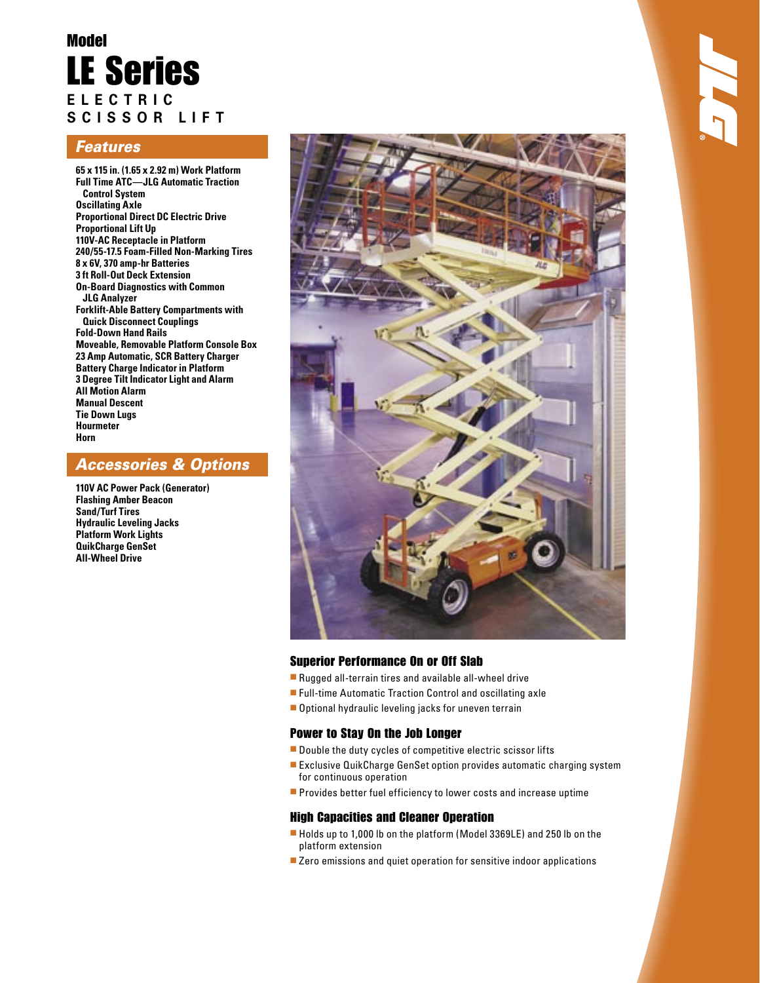# Model LE Series **E L E C T R I C S C I S S O R L I F T**

### Features

**65 x 115 in. (1.65 x 2.92 m) Work Platform Full Time ATC—JLG Automatic Traction Control System Oscillating Axle Proportional Direct DC Electric Drive Proportional Lift Up 110V-AC Receptacle in Platform 240/55-17.5 Foam-Filled Non-Marking Tires 8 x 6V, 370 amp-hr Batteries 3 ft Roll-Out Deck Extension On-Board Diagnostics with Common JLG Analyzer Forklift-Able Battery Compartments with Quick Disconnect Couplings Fold-Down Hand Rails Moveable, Removable Platform Console Box 23 Amp Automatic, SCR Battery Charger Battery Charge Indicator in Platform 3 Degree Tilt Indicator Light and Alarm All Motion Alarm Manual Descent Tie Down Lugs Hourmeter Horn**

### Accessories & Options

**110V AC Power Pack (Generator) Flashing Amber Beacon Sand/Turf Tires Hydraulic Leveling Jacks Platform Work Lights QuikCharge GenSet All-Wheel Drive**



### Superior Performance On or Off Slab

- Rugged all-terrain tires and available all-wheel drive
- Full-time Automatic Traction Control and oscillating axle
- Optional hydraulic leveling jacks for uneven terrain

#### Power to Stay On the Job Longer

- Double the duty cycles of competitive electric scissor lifts
- Exclusive QuikCharge GenSet option provides automatic charging system for continuous operation
- Provides better fuel efficiency to lower costs and increase uptime

#### High Capacities and Cleaner Operation

- Holds up to 1,000 lb on the platform (Model 3369LE) and 250 lb on the platform extension
- Zero emissions and quiet operation for sensitive indoor applications